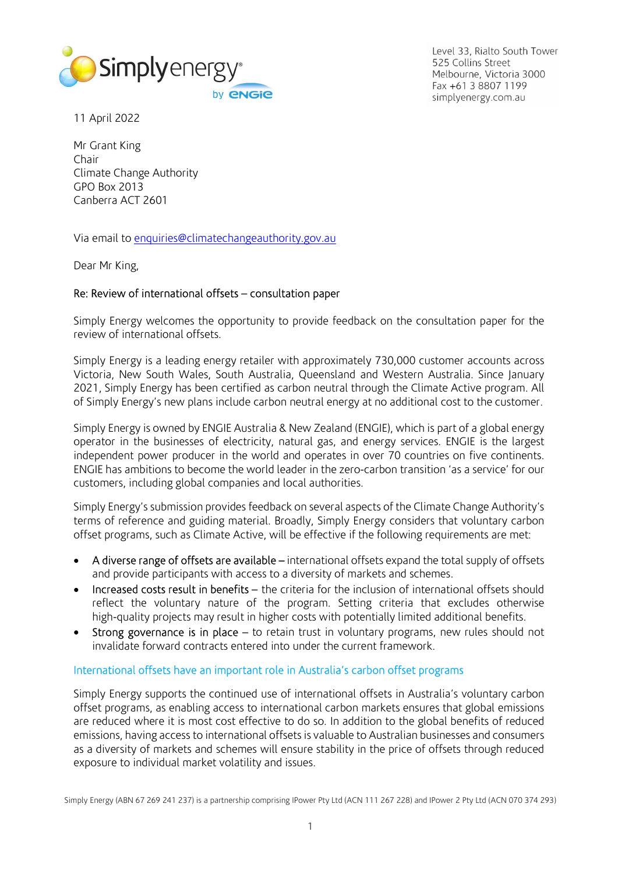

Level 33, Rialto South Tower 525 Collins Street Melbourne, Victoria 3000 Fax +61 3 8807 1199 simplyenergy.com.au

11 April 2022

Mr Grant King Chair Climate Change Authority GPO Box 2013 Canberra ACT 2601

Via email to enquiries@climatechangeauthority.gov.au

Dear Mr King,

### Re: Review of international offsets – consultation paper

Simply Energy welcomes the opportunity to provide feedback on the consultation paper for the review of international offsets.

Simply Energy is a leading energy retailer with approximately 730,000 customer accounts across Victoria, New South Wales, South Australia, Queensland and Western Australia. Since January 2021, Simply Energy has been certified as carbon neutral through the Climate Active program. All of Simply Energy's new plans include carbon neutral energy at no additional cost to the customer.

Simply Energy is owned by ENGIE Australia & New Zealand (ENGIE), which is part of a global energy operator in the businesses of electricity, natural gas, and energy services. ENGIE is the largest independent power producer in the world and operates in over 70 countries on five continents. ENGIE has ambitions to become the world leader in the zero-carbon transition 'as a service' for our customers, including global companies and local authorities.

Simply Energy's submission provides feedback on several aspects of the Climate Change Authority's terms of reference and guiding material. Broadly, Simply Energy considers that voluntary carbon offset programs, such as Climate Active, will be effective if the following requirements are met:

- A diverse range of offsets are available international offsets expand the total supply of offsets and provide participants with access to a diversity of markets and schemes.
- Increased costs result in benefits the criteria for the inclusion of international offsets should reflect the voluntary nature of the program. Setting criteria that excludes otherwise high-quality projects may result in higher costs with potentially limited additional benefits.
- Strong governance is in place to retain trust in voluntary programs, new rules should not invalidate forward contracts entered into under the current framework.

### International offsets have an important role in Australia's carbon offset programs

Simply Energy supports the continued use of international offsets in Australia's voluntary carbon offset programs, as enabling access to international carbon markets ensures that global emissions are reduced where it is most cost effective to do so. In addition to the global benefits of reduced emissions, having access to international offsets is valuable to Australian businesses and consumers as a diversity of markets and schemes will ensure stability in the price of offsets through reduced exposure to individual market volatility and issues.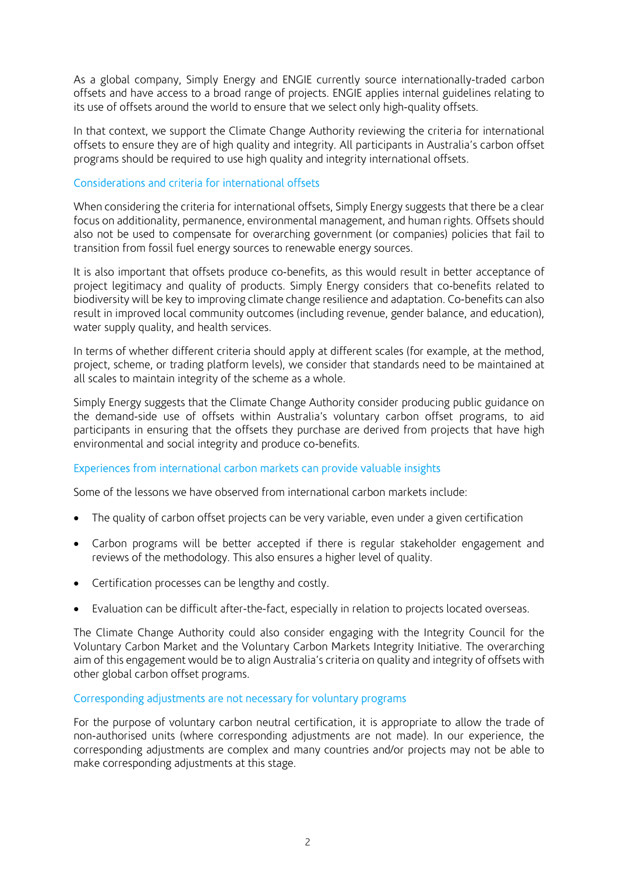As a global company, Simply Energy and ENGIE currently source internationally-traded carbon offsets and have access to a broad range of projects. ENGIE applies internal guidelines relating to its use of offsets around the world to ensure that we select only high-quality offsets.

In that context, we support the Climate Change Authority reviewing the criteria for international offsets to ensure they are of high quality and integrity. All participants in Australia's carbon offset programs should be required to use high quality and integrity international offsets.

# Considerations and criteria for international offsets

When considering the criteria for international offsets, Simply Energy suggests that there be a clear focus on additionality, permanence, environmental management, and human rights. Offsets should also not be used to compensate for overarching government (or companies) policies that fail to transition from fossil fuel energy sources to renewable energy sources.

It is also important that offsets produce co-benefits, as this would result in better acceptance of project legitimacy and quality of products. Simply Energy considers that co-benefits related to biodiversity will be key to improving climate change resilience and adaptation. Co-benefits can also result in improved local community outcomes (including revenue, gender balance, and education), water supply quality, and health services.

In terms of whether different criteria should apply at different scales (for example, at the method, project, scheme, or trading platform levels), we consider that standards need to be maintained at all scales to maintain integrity of the scheme as a whole.

Simply Energy suggests that the Climate Change Authority consider producing public guidance on the demand-side use of offsets within Australia's voluntary carbon offset programs, to aid participants in ensuring that the offsets they purchase are derived from projects that have high environmental and social integrity and produce co-benefits.

### Experiences from international carbon markets can provide valuable insights

Some of the lessons we have observed from international carbon markets include:

- The quality of carbon offset projects can be very variable, even under a given certification
- Carbon programs will be better accepted if there is regular stakeholder engagement and reviews of the methodology. This also ensures a higher level of quality.
- Certification processes can be lengthy and costly.
- Evaluation can be difficult after-the-fact, especially in relation to projects located overseas.

The Climate Change Authority could also consider engaging with the Integrity Council for the Voluntary Carbon Market and the Voluntary Carbon Markets Integrity Initiative. The overarching aim of this engagement would be to align Australia's criteria on quality and integrity of offsets with other global carbon offset programs.

# Corresponding adjustments are not necessary for voluntary programs

For the purpose of voluntary carbon neutral certification, it is appropriate to allow the trade of non-authorised units (where corresponding adjustments are not made). In our experience, the corresponding adjustments are complex and many countries and/or projects may not be able to make corresponding adjustments at this stage.